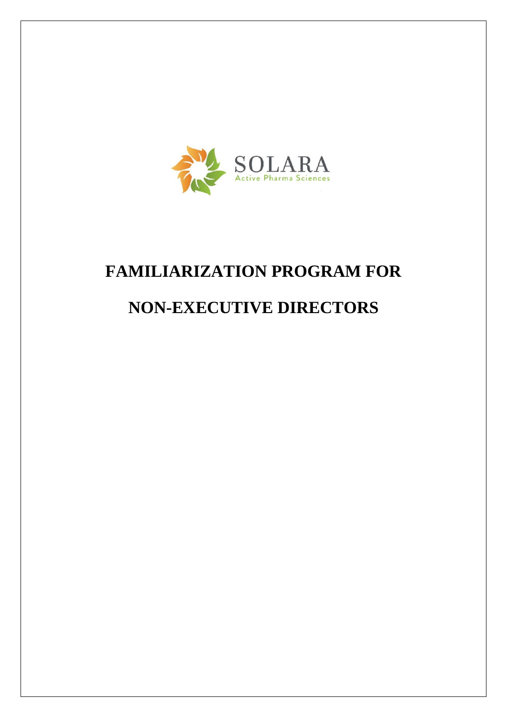

# **FAMILIARIZATION PROGRAM FOR**

# **NON-EXECUTIVE DIRECTORS**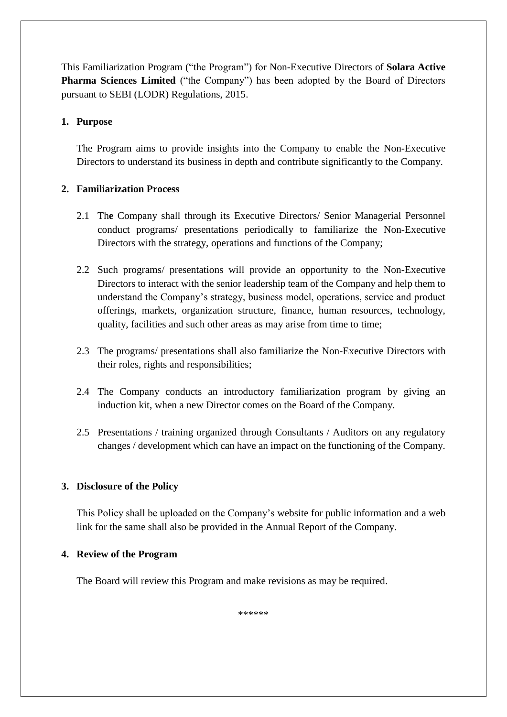This Familiarization Program ("the Program") for Non-Executive Directors of **Solara Active Pharma Sciences Limited** ("the Company") has been adopted by the Board of Directors pursuant to SEBI (LODR) Regulations, 2015.

## **1. Purpose**

The Program aims to provide insights into the Company to enable the Non-Executive Directors to understand its business in depth and contribute significantly to the Company.

# **2. Familiarization Process**

- 2.1 Th**e** Company shall through its Executive Directors/ Senior Managerial Personnel conduct programs/ presentations periodically to familiarize the Non-Executive Directors with the strategy, operations and functions of the Company;
- 2.2 Such programs/ presentations will provide an opportunity to the Non-Executive Directors to interact with the senior leadership team of the Company and help them to understand the Company's strategy, business model, operations, service and product offerings, markets, organization structure, finance, human resources, technology, quality, facilities and such other areas as may arise from time to time;
- 2.3 The programs/ presentations shall also familiarize the Non-Executive Directors with their roles, rights and responsibilities;
- 2.4 The Company conducts an introductory familiarization program by giving an induction kit, when a new Director comes on the Board of the Company.
- 2.5 Presentations / training organized through Consultants / Auditors on any regulatory changes / development which can have an impact on the functioning of the Company.

## **3. Disclosure of the Policy**

This Policy shall be uploaded on the Company's website for public information and a web link for the same shall also be provided in the Annual Report of the Company.

## **4. Review of the Program**

The Board will review this Program and make revisions as may be required.

\*\*\*\*\*\*\*